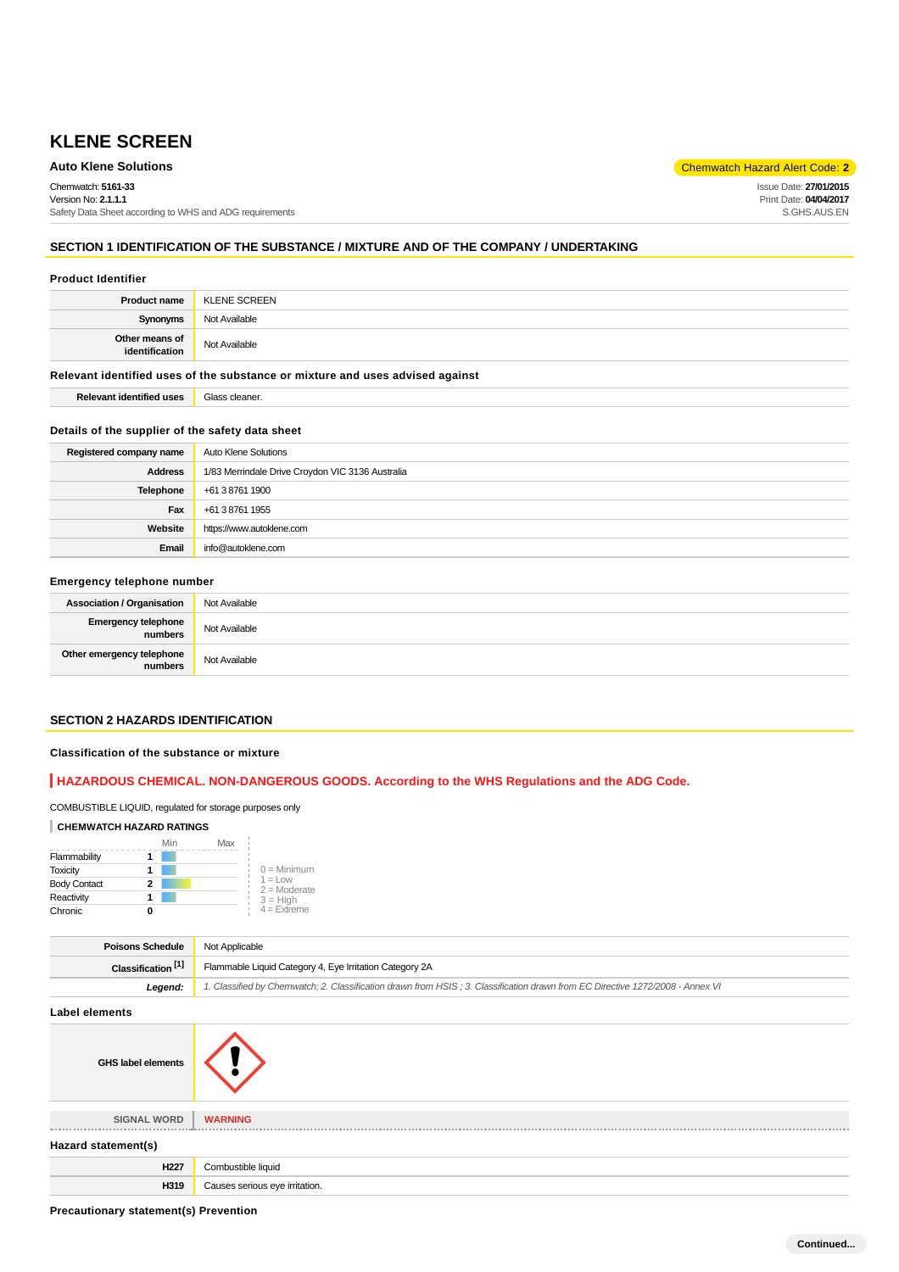## **Auto Klene Solutions** Chemwatch Hazard Alert Code: 2<sup>1</sup>

Chemwatch: **5161-33** Version No: **2.1.1.1** Safety Data Sheet according to WHS and ADG requirements Issue Date: **27/01/2015** Print Date: **04/04/2017** S.GHS.AUS.EN

## **SECTION 1 IDENTIFICATION OF THE SUBSTANCE / MIXTURE AND OF THE COMPANY / UNDERTAKING**

#### **Product Identifier**

| <b>Product name</b>              | <b>KLENE SCREEN</b> |
|----------------------------------|---------------------|
| Synonyms                         | Not Available       |
| Other means of<br>identification | Not Available       |

## **Relevant identified uses of the substance or mixture and uses advised against**

**Relevant identified uses** Glass cleaner.

#### **Details of the supplier of the safety data sheet**

| Registered company name | Auto Klene Solutions                             |
|-------------------------|--------------------------------------------------|
| <b>Address</b>          | 1/83 Merrindale Drive Croydon VIC 3136 Australia |
| Telephone               | +61 3 8761 1900                                  |
| Fax                     | +61 3 8761 1955                                  |
| Website                 | https://www.autoklene.com                        |
| Email                   | info@autoklene.com                               |

#### **Emergency telephone number**

| <b>Association / Organisation</b>    | Not Available |
|--------------------------------------|---------------|
| Emergency telephone<br>numbers       | Not Available |
| Other emergency telephone<br>numbers | Not Available |

## **SECTION 2 HAZARDS IDENTIFICATION**

## **Classification of the substance or mixture**

## **HAZARDOUS CHEMICAL. NON-DANGEROUS GOODS. According to the WHS Regulations and the ADG Code.**

| <b>CHEMWATCH HAZARD RATINGS</b> |     |     |  |
|---------------------------------|-----|-----|--|
|                                 | Min | Max |  |
| Flammability                    |     |     |  |

COMBUSTIBLE LIQUID, regulated for storage purposes only

|   | $0 =$ Minimum               |
|---|-----------------------------|
|   | $1 = Low$<br>$2 =$ Moderate |
|   | $3 = H$ iah                 |
| u | $4 =$ Extreme               |
|   |                             |

| <b>Poisons Schedule</b>       | Not Applicable                                                                                                                |  |
|-------------------------------|-------------------------------------------------------------------------------------------------------------------------------|--|
| Classification <sup>[1]</sup> | Flammable Liquid Category 4, Eye Irritation Category 2A                                                                       |  |
| Leaend:                       | 1. Classified by Chemwatch; 2. Classification drawn from HSIS; 3. Classification drawn from EC Directive 1272/2008 - Annex VI |  |
| Label elements                |                                                                                                                               |  |
|                               |                                                                                                                               |  |

| <b>GHS label elements</b> |                                |
|---------------------------|--------------------------------|
| <b>SIGNAL WORD</b>        | <b>WARNING</b>                 |
| Hazard statement(s)       |                                |
| H <sub>227</sub>          | Combustible liquid             |
| H319                      | Causes serious eye irritation. |

**Precautionary statement(s) Prevention**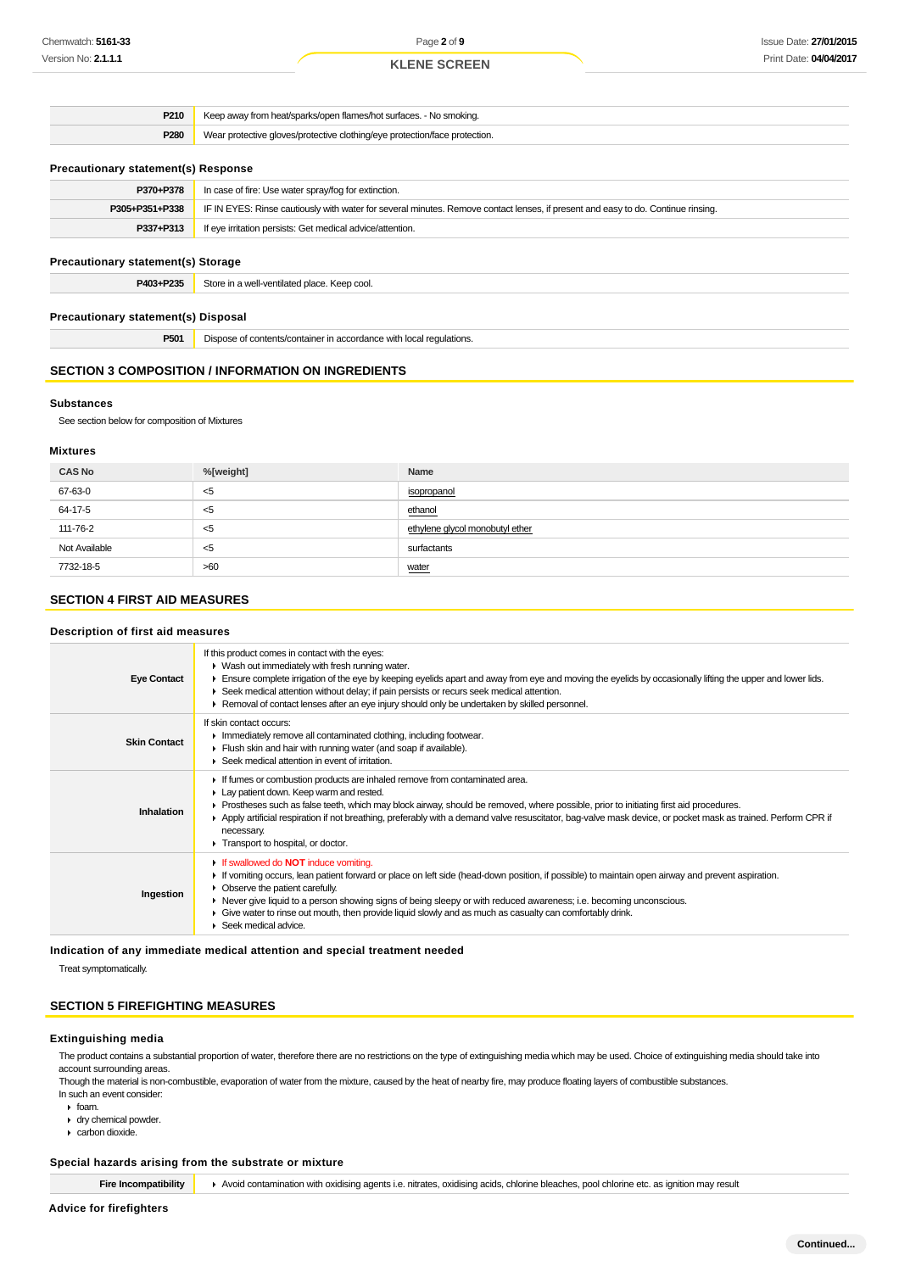| P210                                       | Keep away from heat/sparks/open flames/hot surfaces. - No smoking.                                                               |  |
|--------------------------------------------|----------------------------------------------------------------------------------------------------------------------------------|--|
| P280                                       | Wear protective gloves/protective clothing/eye protection/face protection.                                                       |  |
|                                            |                                                                                                                                  |  |
| <b>Precautionary statement(s) Response</b> |                                                                                                                                  |  |
| P370+P378                                  | In case of fire: Use water spray/fog for extinction.                                                                             |  |
| P305+P351+P338                             | IF IN EYES: Rinse cautiously with water for several minutes. Remove contact lenses, if present and easy to do. Continue rinsing. |  |
| P337+P313                                  | If eye irritation persists: Get medical advice/attention.                                                                        |  |
| <b>Precautionary statement(s) Storage</b>  |                                                                                                                                  |  |
|                                            | Store in a well-ventilated place. Keep cool.                                                                                     |  |
| P403+P235                                  |                                                                                                                                  |  |
|                                            |                                                                                                                                  |  |
| <b>Precautionary statement(s) Disposal</b> |                                                                                                                                  |  |

#### **Substances**

See section below for composition of Mixtures

#### **Mixtures**

| <b>CAS No</b> | %[weight] | Name                            |
|---------------|-----------|---------------------------------|
| 67-63-0       | $<$ 5     | isopropanol                     |
| 64-17-5       | $<$ 5     | ethanol                         |
| 111-76-2      | <5        | ethylene glycol monobutyl ether |
| Not Available | $<$ 5     | surfactants                     |
| 7732-18-5     | >60       | water                           |

## **SECTION 4 FIRST AID MEASURES**

#### **Description of first aid measures**

| <b>Eye Contact</b>  | If this product comes in contact with the eyes:<br>• Wash out immediately with fresh running water.<br>Ensure complete irrigation of the eye by keeping eyelids apart and away from eye and moving the eyelids by occasionally lifting the upper and lower lids.<br>► Seek medical attention without delay; if pain persists or recurs seek medical attention.<br>► Removal of contact lenses after an eye injury should only be undertaken by skilled personnel.                              |
|---------------------|------------------------------------------------------------------------------------------------------------------------------------------------------------------------------------------------------------------------------------------------------------------------------------------------------------------------------------------------------------------------------------------------------------------------------------------------------------------------------------------------|
| <b>Skin Contact</b> | If skin contact occurs:<br>Inmediately remove all contaminated clothing, including footwear.<br>Flush skin and hair with running water (and soap if available).<br>▶ Seek medical attention in event of irritation.                                                                                                                                                                                                                                                                            |
| Inhalation          | If fumes or combustion products are inhaled remove from contaminated area.<br>Lay patient down. Keep warm and rested.<br>► Prostheses such as false teeth, which may block airway, should be removed, where possible, prior to initiating first aid procedures.<br>▶ Apply artificial respiration if not breathing, preferably with a demand valve resuscitator, bag-valve mask device, or pocket mask as trained. Perform CPR if<br>necessary.<br>Transport to hospital, or doctor.           |
| Ingestion           | If swallowed do <b>NOT</b> induce vomiting.<br>If vomiting occurs, lean patient forward or place on left side (head-down position, if possible) to maintain open airway and prevent aspiration.<br>• Observe the patient carefully.<br>► Never give liquid to a person showing signs of being sleepy or with reduced awareness; i.e. becoming unconscious.<br>Give water to rinse out mouth, then provide liquid slowly and as much as casualty can comfortably drink.<br>Seek medical advice. |

## **Indication of any immediate medical attention and special treatment needed**

Treat symptomatically.

## **SECTION 5 FIREFIGHTING MEASURES**

#### **Extinguishing media**

The product contains a substantial proportion of water, therefore there are no restrictions on the type of extinguishing media which may be used. Choice of extinguishing media should take into account surrounding areas.

Though the material is non-combustible, evaporation of water from the mixture, caused by the heat of nearby fire, may produce floating layers of combustible substances. In such an event consider:

- $\cdot$  foam.
- dry chemical powder.
- carbon dioxide.

## **Special hazards arising from the substrate or mixture**

**Fire Incompatibility Avoid contamination with oxidising agents i.e. nitrates, oxidising acids, chlorine bleaches, pool chlorine etc. as ignition may result**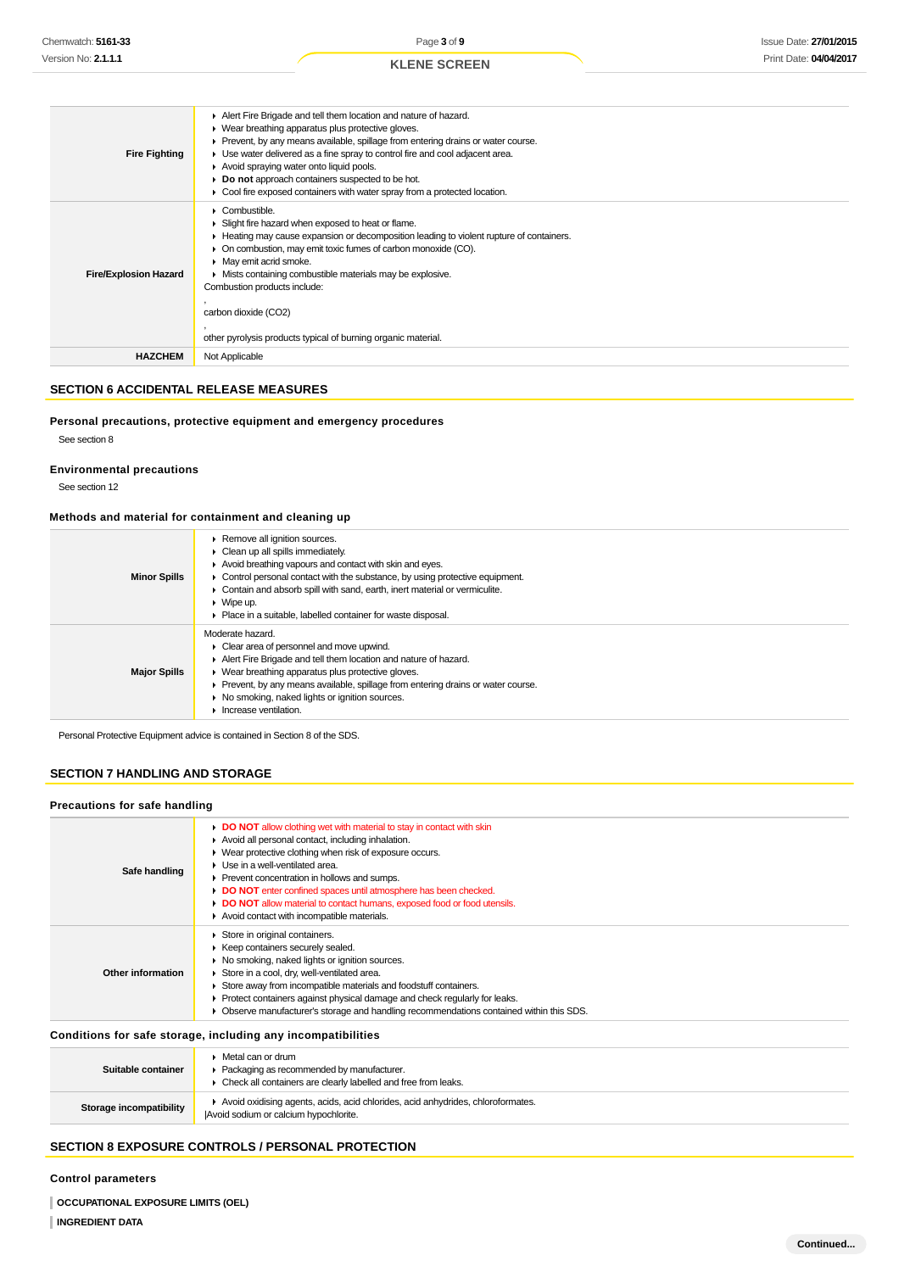| <b>Fire Fighting</b>         | Alert Fire Brigade and tell them location and nature of hazard.<br>• Wear breathing apparatus plus protective gloves.<br>▶ Prevent, by any means available, spillage from entering drains or water course.<br>• Use water delivered as a fine spray to control fire and cool adjacent area.<br>Avoid spraying water onto liquid pools.<br>• Do not approach containers suspected to be hot.<br>• Cool fire exposed containers with water spray from a protected location. |
|------------------------------|---------------------------------------------------------------------------------------------------------------------------------------------------------------------------------------------------------------------------------------------------------------------------------------------------------------------------------------------------------------------------------------------------------------------------------------------------------------------------|
| <b>Fire/Explosion Hazard</b> | • Combustible.<br>Slight fire hazard when exposed to heat or flame.<br>► Heating may cause expansion or decomposition leading to violent rupture of containers.<br>• On combustion, may emit toxic fumes of carbon monoxide (CO).<br>• May emit acrid smoke.<br>• Mists containing combustible materials may be explosive.<br>Combustion products include:<br>carbon dioxide (CO2)<br>other pyrolysis products typical of burning organic material.                       |
| <b>HAZCHEM</b>               | Not Applicable                                                                                                                                                                                                                                                                                                                                                                                                                                                            |

## **SECTION 6 ACCIDENTAL RELEASE MEASURES**

**Personal precautions, protective equipment and emergency procedures** See section 8

## **Environmental precautions**

See section 12

## **Methods and material for containment and cleaning up**

| <b>Minor Spills</b> | ▶ Remove all ignition sources.<br>$\triangleright$ Clean up all spills immediately.<br>Avoid breathing vapours and contact with skin and eyes.<br>$\triangleright$ Control personal contact with the substance, by using protective equipment.<br>• Contain and absorb spill with sand, earth, inert material or vermiculite.<br>$\triangleright$ Wipe up.<br>• Place in a suitable, labelled container for waste disposal. |
|---------------------|-----------------------------------------------------------------------------------------------------------------------------------------------------------------------------------------------------------------------------------------------------------------------------------------------------------------------------------------------------------------------------------------------------------------------------|
| <b>Major Spills</b> | Moderate hazard.<br>$\triangleright$ Clear area of personnel and move upwind.<br>Alert Fire Brigade and tell them location and nature of hazard.<br>▶ Wear breathing apparatus plus protective gloves.<br>• Prevent, by any means available, spillage from entering drains or water course.<br>• No smoking, naked lights or ignition sources.<br>Increase ventilation.                                                     |

Personal Protective Equipment advice is contained in Section 8 of the SDS.

## **SECTION 7 HANDLING AND STORAGE**

#### **Precautions for safe handling**

| Safe handling     | DO NOT allow clothing wet with material to stay in contact with skin<br>Avoid all personal contact, including inhalation.<br>• Wear protective clothing when risk of exposure occurs.<br>▶ Use in a well-ventilated area.<br>▶ Prevent concentration in hollows and sumps.<br>DO NOT enter confined spaces until atmosphere has been checked.<br>• DO NOT allow material to contact humans, exposed food or food utensils.<br>Avoid contact with incompatible materials. |
|-------------------|--------------------------------------------------------------------------------------------------------------------------------------------------------------------------------------------------------------------------------------------------------------------------------------------------------------------------------------------------------------------------------------------------------------------------------------------------------------------------|
| Other information | Store in original containers.<br>▶ Keep containers securely sealed.<br>• No smoking, naked lights or ignition sources.<br>Store in a cool, dry, well-ventilated area.<br>Store away from incompatible materials and foodstuff containers.<br>• Protect containers against physical damage and check regularly for leaks.<br>Observe manufacturer's storage and handling recommendations contained within this SDS.                                                       |
|                   |                                                                                                                                                                                                                                                                                                                                                                                                                                                                          |

## **Conditions for safe storage, including any incompatibilities**

| Suitable container      | Metal can or drum<br>• Packaging as recommended by manufacturer.<br>• Check all containers are clearly labelled and free from leaks. |
|-------------------------|--------------------------------------------------------------------------------------------------------------------------------------|
| Storage incompatibility | Avoid oxidising agents, acids, acid chlorides, acid anhydrides, chloroformates.<br>Avoid sodium or calcium hypochlorite.             |

## **SECTION 8 EXPOSURE CONTROLS / PERSONAL PROTECTION**

**Control parameters**

**OCCUPATIONAL EXPOSURE LIMITS (OEL)**

```
INGREDIENT DATA
```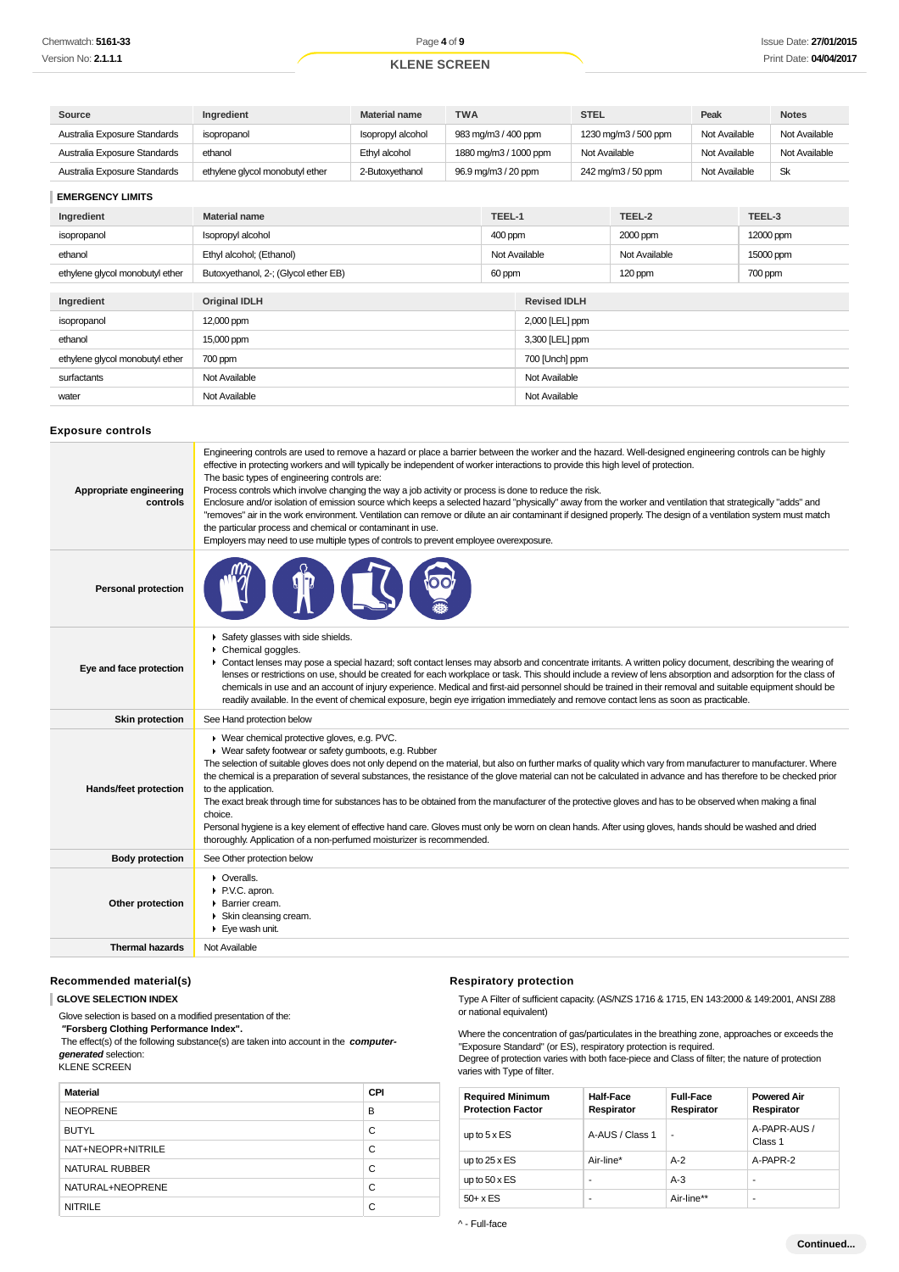| Source                              | Ingredient                                                                                                                                                                                                                                                                                                                                                                                                                                                                                                                                                                                                                                                                                                                                                                                                                                                                                                                                      | <b>Material name</b> | <b>TWA</b>          |                       | <b>STEL</b>                |                      | Peak          |        | <b>Notes</b>  |
|-------------------------------------|-------------------------------------------------------------------------------------------------------------------------------------------------------------------------------------------------------------------------------------------------------------------------------------------------------------------------------------------------------------------------------------------------------------------------------------------------------------------------------------------------------------------------------------------------------------------------------------------------------------------------------------------------------------------------------------------------------------------------------------------------------------------------------------------------------------------------------------------------------------------------------------------------------------------------------------------------|----------------------|---------------------|-----------------------|----------------------------|----------------------|---------------|--------|---------------|
| Australia Exposure Standards        | isopropanol                                                                                                                                                                                                                                                                                                                                                                                                                                                                                                                                                                                                                                                                                                                                                                                                                                                                                                                                     | Isopropyl alcohol    | 983 mg/m3 / 400 ppm |                       |                            | 1230 mg/m3 / 500 ppm | Not Available |        | Not Available |
| Australia Exposure Standards        | ethanol                                                                                                                                                                                                                                                                                                                                                                                                                                                                                                                                                                                                                                                                                                                                                                                                                                                                                                                                         | Ethyl alcohol        |                     | 1880 mg/m3 / 1000 ppm | Not Available              |                      | Not Available |        | Not Available |
| Australia Exposure Standards        | ethylene glycol monobutyl ether                                                                                                                                                                                                                                                                                                                                                                                                                                                                                                                                                                                                                                                                                                                                                                                                                                                                                                                 | 2-Butoxyethanol      | 96.9 mg/m3 / 20 ppm |                       |                            | 242 mg/m3 / 50 ppm   | Not Available |        | Sk            |
| <b>EMERGENCY LIMITS</b>             |                                                                                                                                                                                                                                                                                                                                                                                                                                                                                                                                                                                                                                                                                                                                                                                                                                                                                                                                                 |                      |                     |                       |                            |                      |               |        |               |
| Ingredient                          | <b>Material name</b>                                                                                                                                                                                                                                                                                                                                                                                                                                                                                                                                                                                                                                                                                                                                                                                                                                                                                                                            |                      |                     | TEEL-1                |                            | TEEL-2               |               | TEEL-3 |               |
| isopropanol                         | Isopropyl alcohol                                                                                                                                                                                                                                                                                                                                                                                                                                                                                                                                                                                                                                                                                                                                                                                                                                                                                                                               |                      |                     | 400 ppm               | 2000 ppm<br>12000 ppm      |                      |               |        |               |
| ethanol                             | Ethyl alcohol; (Ethanol)                                                                                                                                                                                                                                                                                                                                                                                                                                                                                                                                                                                                                                                                                                                                                                                                                                                                                                                        |                      |                     | Not Available         | Not Available<br>15000 ppm |                      |               |        |               |
| ethylene glycol monobutyl ether     | Butoxyethanol, 2-; (Glycol ether EB)                                                                                                                                                                                                                                                                                                                                                                                                                                                                                                                                                                                                                                                                                                                                                                                                                                                                                                            |                      |                     | 60 ppm                | 120 ppm<br>700 ppm         |                      |               |        |               |
| Ingredient                          | <b>Original IDLH</b>                                                                                                                                                                                                                                                                                                                                                                                                                                                                                                                                                                                                                                                                                                                                                                                                                                                                                                                            |                      |                     | <b>Revised IDLH</b>   |                            |                      |               |        |               |
| isopropanol                         | 12,000 ppm                                                                                                                                                                                                                                                                                                                                                                                                                                                                                                                                                                                                                                                                                                                                                                                                                                                                                                                                      |                      |                     | 2,000 [LEL] ppm       |                            |                      |               |        |               |
| ethanol                             | 15,000 ppm                                                                                                                                                                                                                                                                                                                                                                                                                                                                                                                                                                                                                                                                                                                                                                                                                                                                                                                                      |                      |                     | 3,300 [LEL] ppm       |                            |                      |               |        |               |
| ethylene glycol monobutyl ether     | 700 ppm                                                                                                                                                                                                                                                                                                                                                                                                                                                                                                                                                                                                                                                                                                                                                                                                                                                                                                                                         |                      |                     | 700 [Unch] ppm        |                            |                      |               |        |               |
| surfactants                         | Not Available                                                                                                                                                                                                                                                                                                                                                                                                                                                                                                                                                                                                                                                                                                                                                                                                                                                                                                                                   |                      |                     | Not Available         |                            |                      |               |        |               |
| water                               | Not Available                                                                                                                                                                                                                                                                                                                                                                                                                                                                                                                                                                                                                                                                                                                                                                                                                                                                                                                                   |                      |                     | Not Available         |                            |                      |               |        |               |
| <b>Exposure controls</b>            |                                                                                                                                                                                                                                                                                                                                                                                                                                                                                                                                                                                                                                                                                                                                                                                                                                                                                                                                                 |                      |                     |                       |                            |                      |               |        |               |
| Appropriate engineering<br>controls | Engineering controls are used to remove a hazard or place a barrier between the worker and the hazard. Well-designed engineering controls can be highly<br>effective in protecting workers and will typically be independent of worker interactions to provide this high level of protection.<br>The basic types of engineering controls are:<br>Process controls which involve changing the way a job activity or process is done to reduce the risk.<br>Enclosure and/or isolation of emission source which keeps a selected hazard "physically" away from the worker and ventilation that strategically "adds" and<br>"removes" air in the work environment. Ventilation can remove or dilute an air contaminant if designed properly. The design of a ventilation system must match<br>the particular process and chemical or contaminant in use.<br>Employers may need to use multiple types of controls to prevent employee overexposure. |                      |                     |                       |                            |                      |               |        |               |
| <b>Personal protection</b>          |                                                                                                                                                                                                                                                                                                                                                                                                                                                                                                                                                                                                                                                                                                                                                                                                                                                                                                                                                 |                      |                     |                       |                            |                      |               |        |               |
| Eye and face protection             | ▶ Safety glasses with side shields.<br>Chemical goggles.<br>► Contact lenses may pose a special hazard; soft contact lenses may absorb and concentrate irritants. A written policy document, describing the wearing of<br>lenses or restrictions on use, should be created for each workplace or task. This should include a review of lens absorption and adsorption for the class of<br>chemicals in use and an account of injury experience. Medical and first-aid personnel should be trained in their removal and suitable equipment should be<br>readily available. In the event of chemical exposure, begin eye irrigation immediately and remove contact lens as soon as practicable.                                                                                                                                                                                                                                                   |                      |                     |                       |                            |                      |               |        |               |
| <b>Skin protection</b>              | See Hand protection below                                                                                                                                                                                                                                                                                                                                                                                                                                                                                                                                                                                                                                                                                                                                                                                                                                                                                                                       |                      |                     |                       |                            |                      |               |        |               |
| Hands/feet protection               | ▶ Wear chemical protective gloves, e.g. PVC.<br>• Wear safety footwear or safety gumboots, e.g. Rubber<br>The selection of suitable gloves does not only depend on the material, but also on further marks of quality which vary from manufacturer to manufacturer. Where<br>the chemical is a preparation of several substances, the resistance of the glove material can not be calculated in advance and has therefore to be checked prior<br>to the application.<br>The exact break through time for substances has to be obtained from the manufacturer of the protective gloves and has to be observed when making a final<br>choice.<br>Personal hygiene is a key element of effective hand care. Gloves must only be worn on clean hands. After using gloves, hands should be washed and dried<br>thoroughly. Application of a non-perfumed moisturizer is recommended.                                                                 |                      |                     |                       |                            |                      |               |        |               |
| <b>Body protection</b>              | See Other protection below                                                                                                                                                                                                                                                                                                                                                                                                                                                                                                                                                                                                                                                                                                                                                                                                                                                                                                                      |                      |                     |                       |                            |                      |               |        |               |
| Other protection                    | • Overalls.<br>P.V.C. apron.<br>▶ Barrier cream.<br>▶ Skin cleansing cream.<br>$\blacktriangleright$ Eye wash unit.                                                                                                                                                                                                                                                                                                                                                                                                                                                                                                                                                                                                                                                                                                                                                                                                                             |                      |                     |                       |                            |                      |               |        |               |
| <b>Thermal hazards</b>              | Not Available                                                                                                                                                                                                                                                                                                                                                                                                                                                                                                                                                                                                                                                                                                                                                                                                                                                                                                                                   |                      |                     |                       |                            |                      |               |        |               |

## **Recommended material(s)**

**GLOVE SELECTION INDEX**

Glove selection is based on a modified presentation of the:

 **"Forsberg Clothing Performance Index".**

 The effect(s) of the following substance(s) are taken into account in the **computergenerated** selection: KLENE SCREEN

| <b>Material</b>   | <b>CPI</b> |
|-------------------|------------|
| <b>NEOPRENE</b>   | B          |
| <b>BUTYL</b>      | C          |
| NAT+NEOPR+NITRILE | C          |
| NATURAL RUBBER    | C          |
| NATURAL+NEOPRENE  | C          |
| <b>NITRILE</b>    | C          |

## **Respiratory protection**

Type A Filter of sufficient capacity. (AS/NZS 1716 & 1715, EN 143:2000 & 149:2001, ANSI Z88 or national equivalent)

Where the concentration of gas/particulates in the breathing zone, approaches or exceeds the "Exposure Standard" (or ES), respiratory protection is required. Degree of protection varies with both face-piece and Class of filter; the nature of protection varies with Type of filter.

| <b>Required Minimum</b><br><b>Protection Factor</b> | <b>Half-Face</b><br>Respirator | <b>Full-Face</b><br>Respirator | <b>Powered Air</b><br>Respirator |
|-----------------------------------------------------|--------------------------------|--------------------------------|----------------------------------|
| up to $5 \times ES$                                 | A-AUS / Class 1                | -                              | A-PAPR-AUS /<br>Class 1          |
| up to $25 \times ES$                                | Air-line*                      | $A-2$                          | A-PAPR-2                         |
| up to $50 \times ES$                                | ۰                              | $A-3$                          | ۰                                |
| $50+ x ES$                                          | ۰                              | Air-line**                     | ۰                                |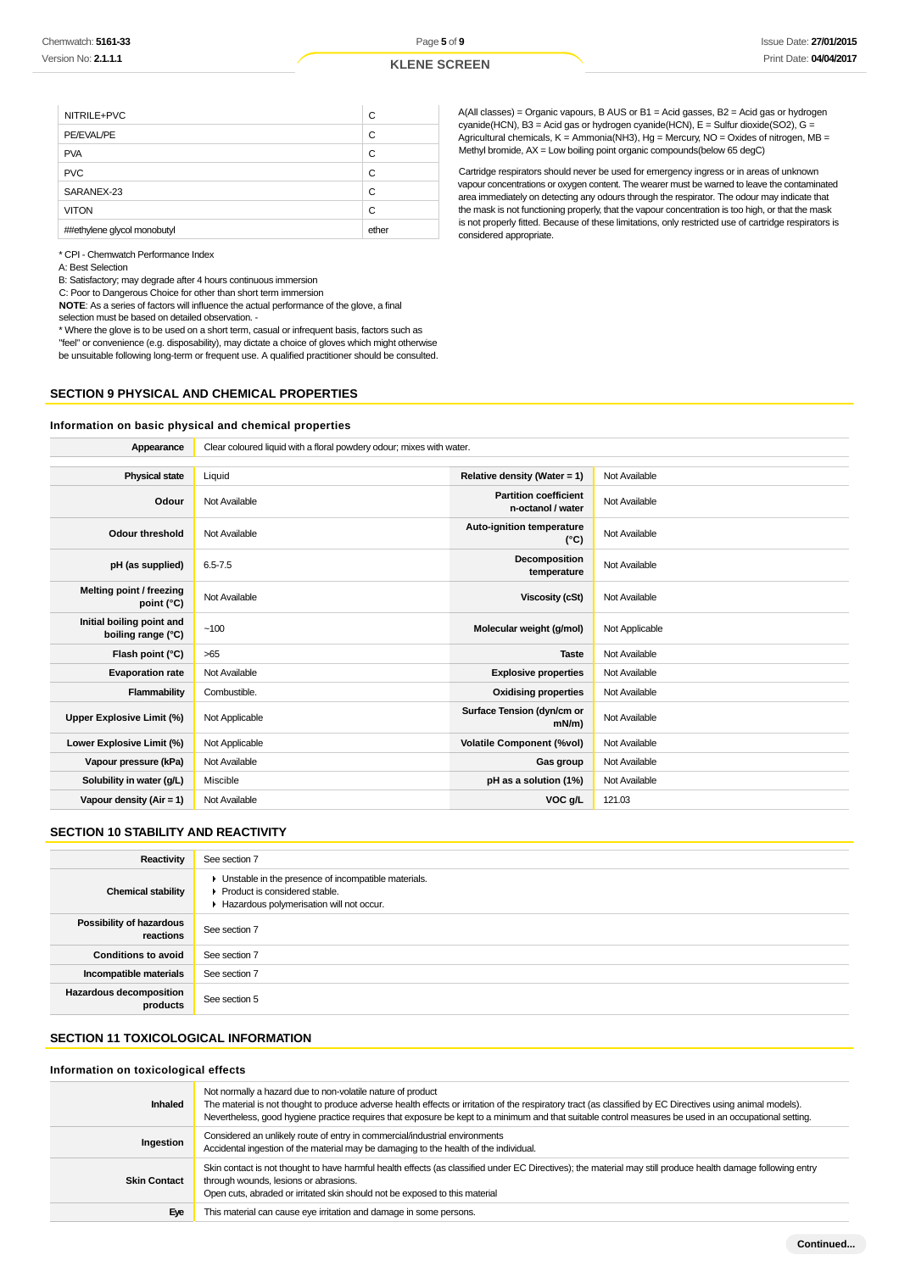| NITRILE+PVC                 | С     |
|-----------------------------|-------|
| PE/EVAL/PE                  | C     |
| <b>PVA</b>                  | C     |
| <b>PVC</b>                  | C     |
| SARANEX-23                  | С     |
| <b>VITON</b>                | C     |
| ##ethylene glycol monobutyl | ether |

A(All classes) = Organic vapours, B AUS or B1 = Acid gasses, B2 = Acid gas or hydrogen cyanide(HCN), B3 = Acid gas or hydrogen cyanide(HCN), E = Sulfur dioxide(SO2), G = Agricultural chemicals,  $K =$  Ammonia(NH3), Hg = Mercury, NO = Oxides of nitrogen, MB = Methyl bromide, AX = Low boiling point organic compounds(below 65 degC)

Cartridge respirators should never be used for emergency ingress or in areas of unknown vapour concentrations or oxygen content. The wearer must be warned to leave the contaminated area immediately on detecting any odours through the respirator. The odour may indicate that the mask is not functioning properly, that the vapour concentration is too high, or that the mask is not properly fitted. Because of these limitations, only restricted use of cartridge respirators is considered appropriate.

\* CPI - Chemwatch Performance Index

A: Best Selection

B: Satisfactory; may degrade after 4 hours continuous immersion

C: Poor to Dangerous Choice for other than short term immersion

**NOTE**: As a series of factors will influence the actual performance of the glove, a final selection must be based on detailed observation. -

\* Where the glove is to be used on a short term, casual or infrequent basis, factors such as

"feel" or convenience (e.g. disposability), may dictate a choice of gloves which might otherwise be unsuitable following long-term or frequent use. A qualified practitioner should be consulted.

## **SECTION 9 PHYSICAL AND CHEMICAL PROPERTIES**

#### **Information on basic physical and chemical properties**

| Appearance                                      | Clear coloured liquid with a floral powdery odour; mixes with water. |                                                   |                |
|-------------------------------------------------|----------------------------------------------------------------------|---------------------------------------------------|----------------|
|                                                 |                                                                      |                                                   |                |
| <b>Physical state</b>                           | Liquid                                                               | Relative density (Water = $1$ )                   | Not Available  |
| Odour                                           | Not Available                                                        | <b>Partition coefficient</b><br>n-octanol / water | Not Available  |
| <b>Odour threshold</b>                          | Not Available                                                        | Auto-ignition temperature<br>$(^{\circ}C)$        | Not Available  |
| pH (as supplied)                                | $6.5 - 7.5$                                                          | Decomposition<br>temperature                      | Not Available  |
| Melting point / freezing<br>point (°C)          | Not Available                                                        | <b>Viscosity (cSt)</b>                            | Not Available  |
| Initial boiling point and<br>boiling range (°C) | ~100                                                                 | Molecular weight (g/mol)                          | Not Applicable |
| Flash point (°C)                                | $>65$                                                                | <b>Taste</b>                                      | Not Available  |
| <b>Evaporation rate</b>                         | Not Available                                                        | <b>Explosive properties</b>                       | Not Available  |
| Flammability                                    | Combustible.                                                         | <b>Oxidising properties</b>                       | Not Available  |
| Upper Explosive Limit (%)                       | Not Applicable                                                       | Surface Tension (dyn/cm or<br>$mN/m$ )            | Not Available  |
| Lower Explosive Limit (%)                       | Not Applicable                                                       | <b>Volatile Component (%vol)</b>                  | Not Available  |
| Vapour pressure (kPa)                           | Not Available                                                        | Gas group                                         | Not Available  |
| Solubility in water (g/L)                       | Miscible                                                             | pH as a solution (1%)                             | Not Available  |
| Vapour density (Air = 1)                        | Not Available                                                        | VOC g/L                                           | 121.03         |

## **SECTION 10 STABILITY AND REACTIVITY**

| Reactivity                            | See section 7                                                                                                                        |
|---------------------------------------|--------------------------------------------------------------------------------------------------------------------------------------|
| <b>Chemical stability</b>             | • Unstable in the presence of incompatible materials.<br>▶ Product is considered stable.<br>Hazardous polymerisation will not occur. |
| Possibility of hazardous<br>reactions | See section 7                                                                                                                        |
| <b>Conditions to avoid</b>            | See section 7                                                                                                                        |
| Incompatible materials                | See section 7                                                                                                                        |
| Hazardous decomposition<br>products   | See section 5                                                                                                                        |

## **SECTION 11 TOXICOLOGICAL INFORMATION**

#### **Information on toxicological effects**

| <b>Inhaled</b>      | Not normally a hazard due to non-volatile nature of product<br>The material is not thought to produce adverse health effects or irritation of the respiratory tract (as classified by EC Directives using animal models).<br>Nevertheless, good hygiene practice requires that exposure be kept to a minimum and that suitable control measures be used in an occupational setting. |
|---------------------|-------------------------------------------------------------------------------------------------------------------------------------------------------------------------------------------------------------------------------------------------------------------------------------------------------------------------------------------------------------------------------------|
| Ingestion           | Considered an unlikely route of entry in commercial/industrial environments<br>Accidental ingestion of the material may be damaging to the health of the individual.                                                                                                                                                                                                                |
| <b>Skin Contact</b> | Skin contact is not thought to have harmful health effects (as classified under EC Directives); the material may still produce health damage following entry<br>through wounds, lesions or abrasions.<br>Open cuts, abraded or irritated skin should not be exposed to this material                                                                                                |
| Eye                 | This material can cause eye irritation and damage in some persons.                                                                                                                                                                                                                                                                                                                  |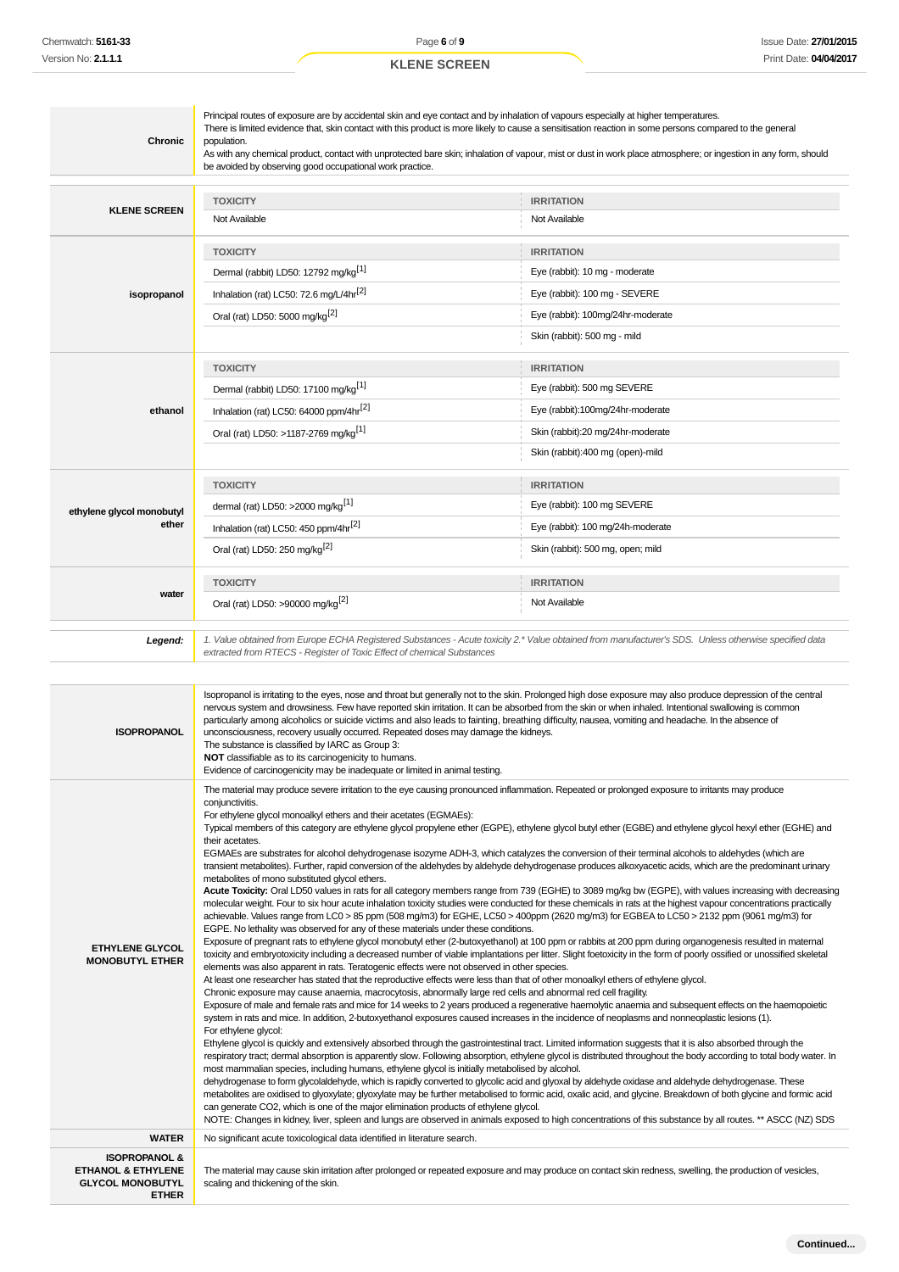| Chronic                                          | Principal routes of exposure are by accidental skin and eye contact and by inhalation of vapours especially at higher temperatures.<br>There is limited evidence that, skin contact with this product is more likely to cause a sensitisation reaction in some persons compared to the general<br>population.<br>As with any chemical product, contact with unprotected bare skin; inhalation of vapour, mist or dust in work place atmosphere; or ingestion in any form, should<br>be avoided by observing good occupational work practice.                                                                                                                                                                                                                                                                                                                                                                                                                                                                                                                                                                                                                                                                                                                                                                                                                                                                                                                                                                                                                                                                                                                                                                                                                                                                                                                                                                                                                                                                                                                                                                                                                                                                          |                                                                                                                                                               |  |  |  |
|--------------------------------------------------|-----------------------------------------------------------------------------------------------------------------------------------------------------------------------------------------------------------------------------------------------------------------------------------------------------------------------------------------------------------------------------------------------------------------------------------------------------------------------------------------------------------------------------------------------------------------------------------------------------------------------------------------------------------------------------------------------------------------------------------------------------------------------------------------------------------------------------------------------------------------------------------------------------------------------------------------------------------------------------------------------------------------------------------------------------------------------------------------------------------------------------------------------------------------------------------------------------------------------------------------------------------------------------------------------------------------------------------------------------------------------------------------------------------------------------------------------------------------------------------------------------------------------------------------------------------------------------------------------------------------------------------------------------------------------------------------------------------------------------------------------------------------------------------------------------------------------------------------------------------------------------------------------------------------------------------------------------------------------------------------------------------------------------------------------------------------------------------------------------------------------------------------------------------------------------------------------------------------------|---------------------------------------------------------------------------------------------------------------------------------------------------------------|--|--|--|
| <b>KLENE SCREEN</b>                              | <b>TOXICITY</b><br>Not Available                                                                                                                                                                                                                                                                                                                                                                                                                                                                                                                                                                                                                                                                                                                                                                                                                                                                                                                                                                                                                                                                                                                                                                                                                                                                                                                                                                                                                                                                                                                                                                                                                                                                                                                                                                                                                                                                                                                                                                                                                                                                                                                                                                                      | <b>IRRITATION</b><br>Not Available                                                                                                                            |  |  |  |
| isopropanol                                      | <b>TOXICITY</b><br>Dermal (rabbit) LD50: 12792 mg/kg <sup>[1]</sup><br>Inhalation (rat) LC50: 72.6 mg/L/4hr <sup>[2]</sup><br>Oral (rat) LD50: 5000 mg/kg <sup>[2]</sup>                                                                                                                                                                                                                                                                                                                                                                                                                                                                                                                                                                                                                                                                                                                                                                                                                                                                                                                                                                                                                                                                                                                                                                                                                                                                                                                                                                                                                                                                                                                                                                                                                                                                                                                                                                                                                                                                                                                                                                                                                                              | <b>IRRITATION</b><br>Eye (rabbit): 10 mg - moderate<br>Eye (rabbit): 100 mg - SEVERE<br>Eye (rabbit): 100mg/24hr-moderate<br>Skin (rabbit): 500 mg - mild     |  |  |  |
| ethanol                                          | <b>TOXICITY</b><br>Dermal (rabbit) LD50: 17100 mg/kg <sup>[1]</sup><br>Inhalation (rat) LC50: 64000 ppm/4hr <sup>[2]</sup><br>Oral (rat) LD50: >1187-2769 mg/kg <sup>[1]</sup>                                                                                                                                                                                                                                                                                                                                                                                                                                                                                                                                                                                                                                                                                                                                                                                                                                                                                                                                                                                                                                                                                                                                                                                                                                                                                                                                                                                                                                                                                                                                                                                                                                                                                                                                                                                                                                                                                                                                                                                                                                        | <b>IRRITATION</b><br>Eye (rabbit): 500 mg SEVERE<br>Eye (rabbit):100mg/24hr-moderate<br>Skin (rabbit):20 mg/24hr-moderate<br>Skin (rabbit):400 mg (open)-mild |  |  |  |
| ethylene glycol monobutyl<br>ether               | <b>TOXICITY</b><br>dermal (rat) LD50: >2000 mg/kg <sup>[1]</sup><br>Inhalation (rat) LC50: 450 ppm/4hr <sup>[2]</sup><br>Oral (rat) LD50: 250 mg/kg <sup>[2]</sup>                                                                                                                                                                                                                                                                                                                                                                                                                                                                                                                                                                                                                                                                                                                                                                                                                                                                                                                                                                                                                                                                                                                                                                                                                                                                                                                                                                                                                                                                                                                                                                                                                                                                                                                                                                                                                                                                                                                                                                                                                                                    | <b>IRRITATION</b><br>Eye (rabbit): 100 mg SEVERE<br>Eye (rabbit): 100 mg/24h-moderate<br>Skin (rabbit): 500 mg, open; mild                                    |  |  |  |
| water                                            | <b>TOXICITY</b><br>Oral (rat) LD50: >90000 mg/kg <sup>[2]</sup>                                                                                                                                                                                                                                                                                                                                                                                                                                                                                                                                                                                                                                                                                                                                                                                                                                                                                                                                                                                                                                                                                                                                                                                                                                                                                                                                                                                                                                                                                                                                                                                                                                                                                                                                                                                                                                                                                                                                                                                                                                                                                                                                                       | <b>IRRITATION</b><br>Not Available                                                                                                                            |  |  |  |
| Legend:                                          | 1. Value obtained from Europe ECHA Registered Substances - Acute toxicity 2.* Value obtained from manufacturer's SDS. Unless otherwise specified data<br>extracted from RTECS - Register of Toxic Effect of chemical Substances                                                                                                                                                                                                                                                                                                                                                                                                                                                                                                                                                                                                                                                                                                                                                                                                                                                                                                                                                                                                                                                                                                                                                                                                                                                                                                                                                                                                                                                                                                                                                                                                                                                                                                                                                                                                                                                                                                                                                                                       |                                                                                                                                                               |  |  |  |
| <b>ISOPROPANOL</b>                               | Isopropanol is irritating to the eyes, nose and throat but generally not to the skin. Prolonged high dose exposure may also produce depression of the central<br>nervous system and drowsiness. Few have reported skin irritation. It can be absorbed from the skin or when inhaled. Intentional swallowing is common<br>particularly among alcoholics or suicide victims and also leads to fainting, breathing difficulty, nausea, vomiting and headache. In the absence of<br>unconsciousness, recovery usually occurred. Repeated doses may damage the kidneys.<br>The substance is classified by IARC as Group 3:<br><b>NOT</b> classifiable as to its carcinogenicity to humans.<br>Evidence of carcinogenicity may be inadequate or limited in animal testing.                                                                                                                                                                                                                                                                                                                                                                                                                                                                                                                                                                                                                                                                                                                                                                                                                                                                                                                                                                                                                                                                                                                                                                                                                                                                                                                                                                                                                                                  |                                                                                                                                                               |  |  |  |
| <b>ETHYLENE GLYCOL</b><br><b>MONOBUTYL ETHER</b> | The material may produce severe irritation to the eye causing pronounced inflammation. Repeated or prolonged exposure to irritants may produce<br>conjunctivitis.<br>For ethylene glycol monoalkyl ethers and their acetates (EGMAEs):<br>Typical members of this category are ethylene glycol propylene ether (EGPE), ethylene glycol butyl ether (EGBE) and ethylene glycol hexyl ether (EGHE) and<br>their acetates.<br>EGMAEs are substrates for alcohol dehydrogenase isozyme ADH-3, which catalyzes the conversion of their terminal alcohols to aldehydes (which are<br>transient metabolites). Further, rapid conversion of the aldehydes by aldehyde dehydrogenase produces alkoxyacetic acids, which are the predominant urinary<br>metabolites of mono substituted glycol ethers.<br>Acute Toxicity: Oral LD50 values in rats for all category members range from 739 (EGHE) to 3089 mg/kg bw (EGPE), with values increasing with decreasing<br>molecular weight. Four to six hour acute inhalation toxicity studies were conducted for these chemicals in rats at the highest vapour concentrations practically<br>achievable. Values range from LC0 > 85 ppm (508 mg/m3) for EGHE, LC50 > 400ppm (2620 mg/m3) for EGBEA to LC50 > 2132 ppm (9061 mg/m3) for<br>EGPE. No lethality was observed for any of these materials under these conditions.<br>Exposure of pregnant rats to ethylene glycol monobutyl ether (2-butoxyethanol) at 100 ppm or rabbits at 200 ppm during organogenesis resulted in maternal<br>toxicity and embryotoxicity including a decreased number of viable implantations per litter. Slight foetoxicity in the form of poorly ossified or unossified skeletal<br>elements was also apparent in rats. Teratogenic effects were not observed in other species.<br>At least one researcher has stated that the reproductive effects were less than that of other monoalkyl ethers of ethylene glycol.<br>Chronic exposure may cause anaemia, macrocytosis, abnormally large red cells and abnormal red cell fragility.<br>Exposure of male and female rats and mice for 14 weeks to 2 years produced a regenerative haemolytic anaemia and subsequent effects on the haemopoietic |                                                                                                                                                               |  |  |  |

system in rats and mice. In addition, 2-butoxyethanol exposures caused increases in the incidence of neoplasms and nonneoplastic lesions (1). For ethylene glycol:

Ethylene glycol is quickly and extensively absorbed through the gastrointestinal tract. Limited information suggests that it is also absorbed through the respiratory tract; dermal absorption is apparently slow. Following absorption, ethylene glycol is distributed throughout the body according to total body water. In most mammalian species, including humans, ethylene glycol is initially metabolised by alcohol.

dehydrogenase to form glycolaldehyde, which is rapidly converted to glycolic acid and glyoxal by aldehyde oxidase and aldehyde dehydrogenase. These metabolites are oxidised to glyoxylate; glyoxylate may be further metabolised to formic acid, oxalic acid, and glycine. Breakdown of both glycine and formic acid can generate CO2, which is one of the major elimination products of ethylene glycol. NOTE: Changes in kidney, liver, spleen and lungs are observed in animals exposed to high concentrations of this substance by all routes. \*\* ASCC (NZ) SDS

## **WATER** No significant acute toxicological data identified in literature search. **ISOPROPANOL & ETHANOL & ETHYLENE GLYCOL MONOBUTYL**

**ETHER**

The material may cause skin irritation after prolonged or repeated exposure and may produce on contact skin redness, swelling, the production of vesicles, scaling and thickening of the skin.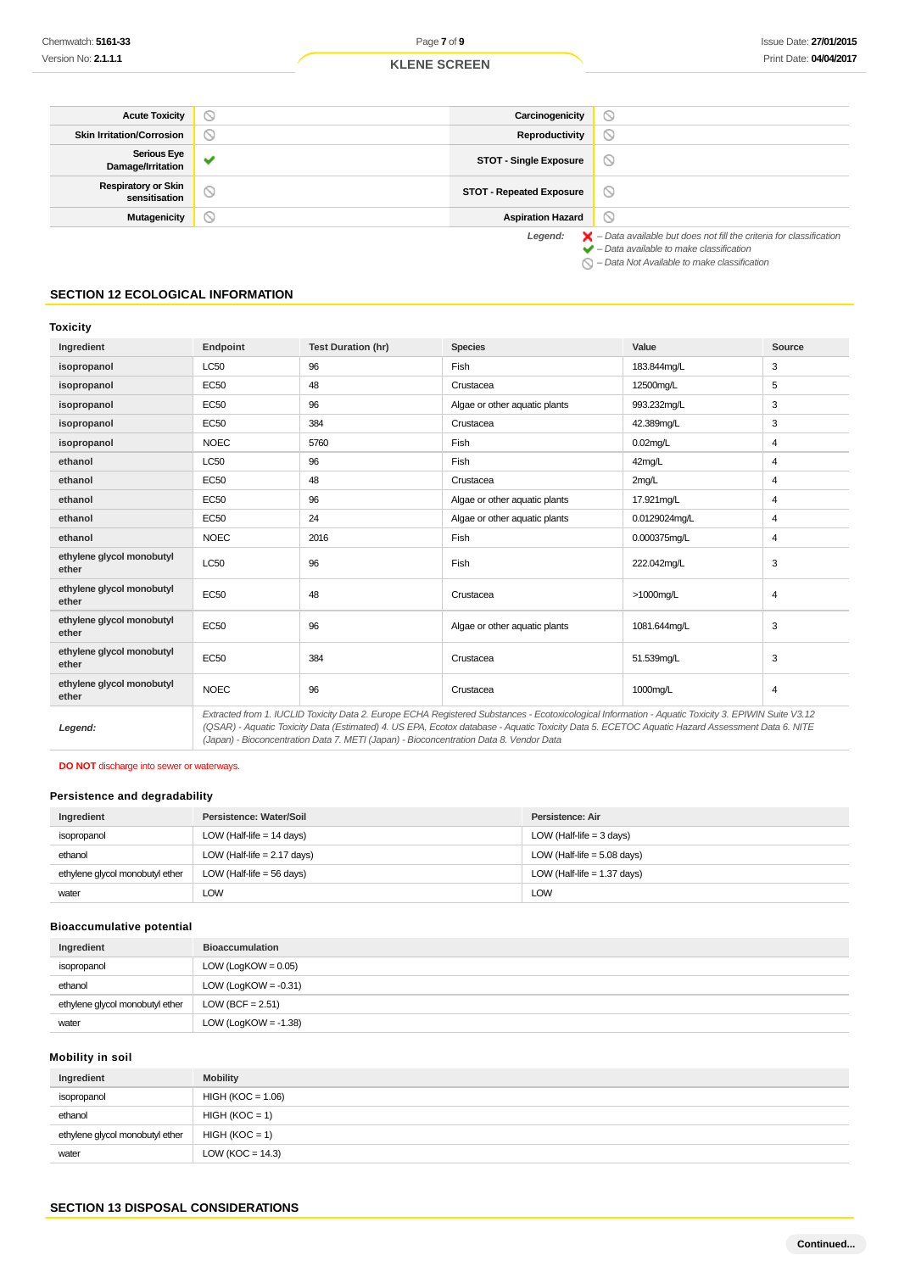| <b>Acute Toxicity</b>                       | ∾                   | Carcinogenicity                 | $\circ$                                                                                  |
|---------------------------------------------|---------------------|---------------------------------|------------------------------------------------------------------------------------------|
| <b>Skin Irritation/Corrosion</b>            | $\circ$             | Reproductivity                  | $\circ$                                                                                  |
| <b>Serious Eye</b><br>Damage/Irritation     |                     | <b>STOT - Single Exposure</b>   | $\circ$                                                                                  |
| <b>Respiratory or Skin</b><br>sensitisation | $\circlearrowright$ | <b>STOT - Repeated Exposure</b> | $\circ$                                                                                  |
| <b>Mutagenicity</b>                         | N                   | <b>Aspiration Hazard</b>        | $\circ$                                                                                  |
|                                             |                     | Legend:                         | $\blacktriangleright$ - Data available but does not fill the criteria for classification |

 $\blacktriangleright$  – Data available to make classification  $\bigcirc$  – Data Not Available to make classification

## **SECTION 12 ECOLOGICAL INFORMATION**

## **Toxicity**

| Ingredient                         | Endpoint                                                                                                                                                                                                                                                                                                                                                                                        | <b>Test Duration (hr)</b> | <b>Species</b>                | Value         | Source         |
|------------------------------------|-------------------------------------------------------------------------------------------------------------------------------------------------------------------------------------------------------------------------------------------------------------------------------------------------------------------------------------------------------------------------------------------------|---------------------------|-------------------------------|---------------|----------------|
| isopropanol                        | <b>LC50</b>                                                                                                                                                                                                                                                                                                                                                                                     | 96                        | Fish                          | 183.844mg/L   | 3              |
| isopropanol                        | <b>EC50</b>                                                                                                                                                                                                                                                                                                                                                                                     | 48                        | Crustacea                     | 12500mg/L     | 5              |
| isopropanol                        | <b>EC50</b>                                                                                                                                                                                                                                                                                                                                                                                     | 96                        | Algae or other aquatic plants | 993.232mg/L   | 3              |
| isopropanol                        | EC50                                                                                                                                                                                                                                                                                                                                                                                            | 384                       | Crustacea                     | 42.389mg/L    | 3              |
| isopropanol                        | <b>NOEC</b>                                                                                                                                                                                                                                                                                                                                                                                     | 5760                      | Fish                          | $0.02$ mg/L   | 4              |
| ethanol                            | <b>LC50</b>                                                                                                                                                                                                                                                                                                                                                                                     | 96                        | Fish                          | 42mg/L        | 4              |
| ethanol                            | <b>EC50</b>                                                                                                                                                                                                                                                                                                                                                                                     | 48                        | Crustacea                     | 2mg/L         | 4              |
| ethanol                            | <b>EC50</b>                                                                                                                                                                                                                                                                                                                                                                                     | 96                        | Algae or other aquatic plants | 17.921mg/L    | 4              |
| ethanol                            | <b>EC50</b>                                                                                                                                                                                                                                                                                                                                                                                     | 24                        | Algae or other aquatic plants | 0.0129024mg/L | 4              |
| ethanol                            | <b>NOEC</b>                                                                                                                                                                                                                                                                                                                                                                                     | 2016                      | Fish                          | 0.000375mg/L  | 4              |
| ethylene glycol monobutyl<br>ether | LC50                                                                                                                                                                                                                                                                                                                                                                                            | 96                        | Fish                          | 222.042mg/L   | 3              |
| ethylene glycol monobutyl<br>ether | <b>EC50</b>                                                                                                                                                                                                                                                                                                                                                                                     | 48                        | Crustacea                     | >1000mg/L     | $\overline{4}$ |
| ethylene glycol monobutyl<br>ether | <b>EC50</b>                                                                                                                                                                                                                                                                                                                                                                                     | 96                        | Algae or other aquatic plants | 1081.644mg/L  | 3              |
| ethylene glycol monobutyl<br>ether | <b>EC50</b>                                                                                                                                                                                                                                                                                                                                                                                     | 384                       | Crustacea                     | 51.539mg/L    | 3              |
| ethylene glycol monobutyl<br>ether | <b>NOEC</b>                                                                                                                                                                                                                                                                                                                                                                                     | 96                        | Crustacea                     | 1000mg/L      | 4              |
| Legend:                            | Extracted from 1. IUCLID Toxicity Data 2. Europe ECHA Registered Substances - Ecotoxicological Information - Aquatic Toxicity 3. EPIWIN Suite V3.12<br>(QSAR) - Aquatic Toxicity Data (Estimated) 4. US EPA, Ecotox database - Aquatic Toxicity Data 5. ECETOC Aquatic Hazard Assessment Data 6. NITE<br>(Japan) - Bioconcentration Data 7. METI (Japan) - Bioconcentration Data 8. Vendor Data |                           |                               |               |                |

**DO NOT** discharge into sewer or waterways.

## **Persistence and degradability**

| Ingredient                      | Persistence: Water/Soil       | Persistence: Air              |
|---------------------------------|-------------------------------|-------------------------------|
| isopropanol                     | LOW (Half-life $= 14$ days)   | LOW (Half-life $=$ 3 days)    |
| ethanol                         | LOW (Half-life $= 2.17$ days) | LOW (Half-life $= 5.08$ days) |
| ethylene glycol monobutyl ether | LOW (Half-life $=$ 56 days)   | LOW (Half-life $= 1.37$ days) |
| water                           | <b>LOW</b>                    | <b>LOW</b>                    |

## **Bioaccumulative potential**

| Ingredient                      | <b>Bioaccumulation</b>  |
|---------------------------------|-------------------------|
| isopropanol                     | LOW (LogKOW = $0.05$ )  |
| ethanol                         | LOW (LogKOW = $-0.31$ ) |
| ethylene glycol monobutyl ether | LOW (BCF = $2.51$ )     |
| water                           | LOW (LogKOW = $-1.38$ ) |

## **Mobility in soil**

| Ingredient                      | <b>Mobility</b>      |
|---------------------------------|----------------------|
| isopropanol                     | $HIGH (KOC = 1.06)$  |
| ethanol                         | $HIGH (KOC = 1)$     |
| ethylene glycol monobutyl ether | $HIGH (KOC = 1)$     |
| water                           | LOW ( $KOC = 14.3$ ) |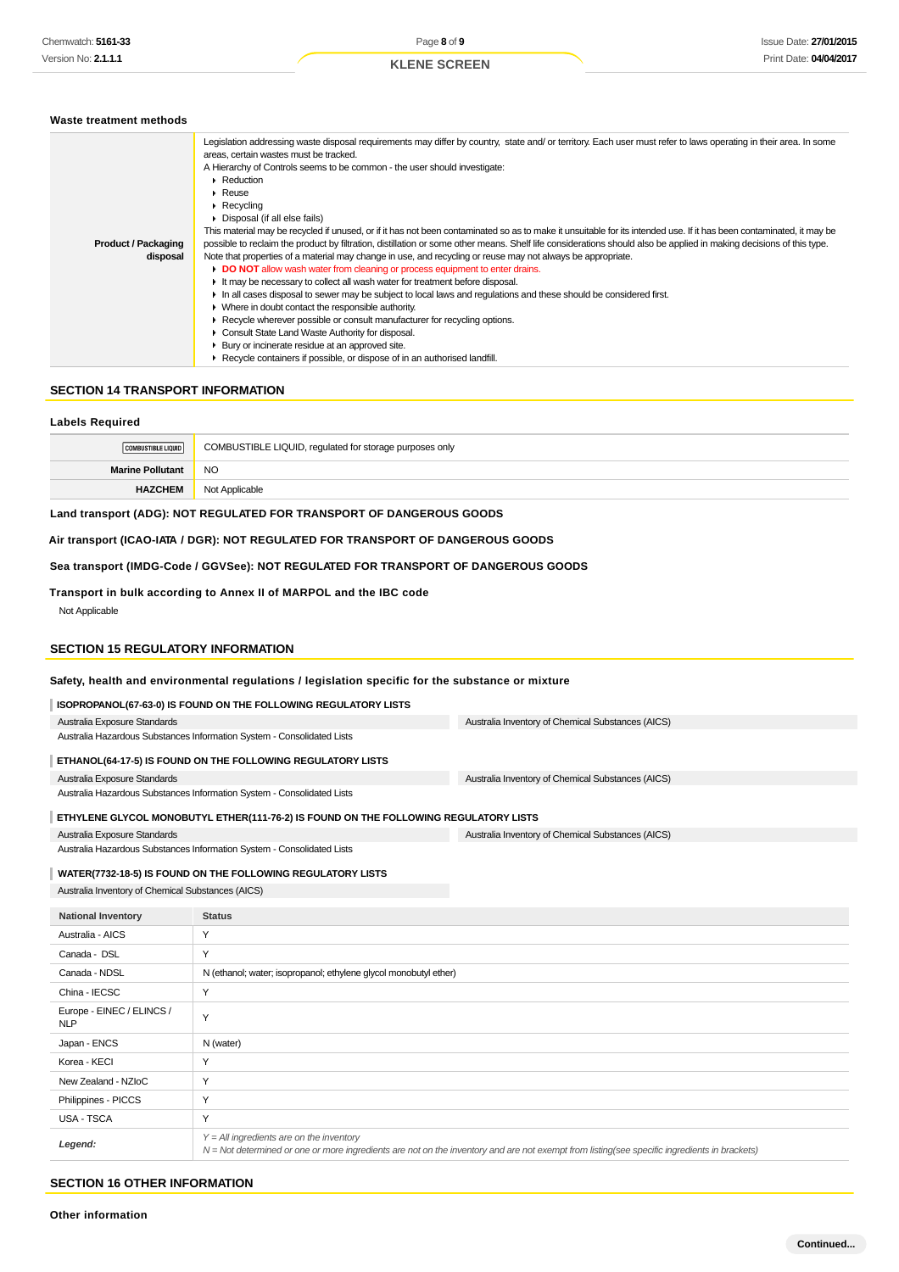#### **Waste treatment methods**

|                            | Legislation addressing waste disposal requirements may differ by country, state and/ or territory. Each user must refer to laws operating in their area. In some     |  |
|----------------------------|----------------------------------------------------------------------------------------------------------------------------------------------------------------------|--|
|                            | areas, certain wastes must be tracked.                                                                                                                               |  |
|                            | A Hierarchy of Controls seems to be common - the user should investigate:<br>$\triangleright$ Reduction<br>$\triangleright$ Reuse                                    |  |
|                            |                                                                                                                                                                      |  |
|                            |                                                                                                                                                                      |  |
|                            | $\triangleright$ Recycling                                                                                                                                           |  |
|                            | • Disposal (if all else fails)                                                                                                                                       |  |
|                            | This material may be recycled if unused, or if it has not been contaminated so as to make it unsuitable for its intended use. If it has been contaminated, it may be |  |
| <b>Product / Packaging</b> | possible to reclaim the product by filtration, distillation or some other means. Shelf life considerations should also be applied in making decisions of this type.  |  |
| disposal                   | Note that properties of a material may change in use, and recycling or reuse may not always be appropriate.                                                          |  |
|                            | DO NOT allow wash water from cleaning or process equipment to enter drains.                                                                                          |  |
|                            | It may be necessary to collect all wash water for treatment before disposal.                                                                                         |  |
|                            | In all cases disposal to sewer may be subject to local laws and regulations and these should be considered first.                                                    |  |
|                            | • Where in doubt contact the responsible authority.                                                                                                                  |  |
|                            | Recycle wherever possible or consult manufacturer for recycling options.                                                                                             |  |
|                            | • Consult State Land Waste Authority for disposal.                                                                                                                   |  |
|                            | Bury or incinerate residue at an approved site.                                                                                                                      |  |
|                            | Recycle containers if possible, or dispose of in an authorised landfill.                                                                                             |  |

## **SECTION 14 TRANSPORT INFORMATION**

## **Labels Required**

| COMBUSTIBLE LIQUID      | COMBUSTIBLE LIQUID, regulated for storage purposes only |
|-------------------------|---------------------------------------------------------|
| <b>Marine Pollutant</b> | NO                                                      |
| <b>HAZCHEM</b>          | Not Applicable                                          |

## **Land transport (ADG): NOT REGULATED FOR TRANSPORT OF DANGEROUS GOODS**

**Air transport (ICAO-IATA / DGR): NOT REGULATED FOR TRANSPORT OF DANGEROUS GOODS**

**Sea transport (IMDG-Code / GGVSee): NOT REGULATED FOR TRANSPORT OF DANGEROUS GOODS**

## **Transport in bulk according to Annex II of MARPOL and the IBC code**

Not Applicable

#### **SECTION 15 REGULATORY INFORMATION**

#### **Safety, health and environmental regulations / legislation specific for the substance or mixture**

| <b>ISOPROPANOL(67-63-0) IS FOUND ON THE FOLLOWING REGULATORY LISTS</b> |                                                   |
|------------------------------------------------------------------------|---------------------------------------------------|
| Australia Exposure Standards                                           | Australia Inventory of Chemical Substances (AICS) |

| Australia Hazardous Substances Information System - Consolidated Lists |  |
|------------------------------------------------------------------------|--|
| ETHANOL(64-17-5) IS FOUND ON THE FOLLOWING REGULATORY LISTS            |  |

Australia Exposure Standards

Australia Hazardous Substances Information System - Consolidated Lists

## **ETHYLENE GLYCOL MONOBUTYL ETHER(111-76-2) IS FOUND ON THE FOLLOWING REGULATORY LISTS**

Australia Exposure Standards

Australia Hazardous Substances Information System - Consolidated Lists

## **WATER(7732-18-5) IS FOUND ON THE FOLLOWING REGULATORY LISTS**

Australia Inventory of Chemical Substances (AICS)

| <b>National Inventory</b>               | <b>Status</b>                                                                                                                                                                              |
|-----------------------------------------|--------------------------------------------------------------------------------------------------------------------------------------------------------------------------------------------|
| Australia - AICS                        | Y                                                                                                                                                                                          |
| Canada - DSL                            | Y                                                                                                                                                                                          |
| Canada - NDSL                           | N (ethanol; water; isopropanol; ethylene glycol monobutyl ether)                                                                                                                           |
| China - IECSC                           | Y                                                                                                                                                                                          |
| Europe - EINEC / ELINCS /<br><b>NLP</b> | Y                                                                                                                                                                                          |
| Japan - ENCS                            | N (water)                                                                                                                                                                                  |
| Korea - KECI                            | Y                                                                                                                                                                                          |
| New Zealand - NZIoC                     | Y                                                                                                                                                                                          |
| Philippines - PICCS                     | Y                                                                                                                                                                                          |
| USA - TSCA                              | Y                                                                                                                                                                                          |
| Legend:                                 | $Y = All$ ingredients are on the inventory<br>N = Not determined or one or more ingredients are not on the inventory and are not exempt from listing(see specific ingredients in brackets) |

Australia Inventory of Chemical Substances (AICS)

Australia Inventory of Chemical Substances (AICS)

## **SECTION 16 OTHER INFORMATION**